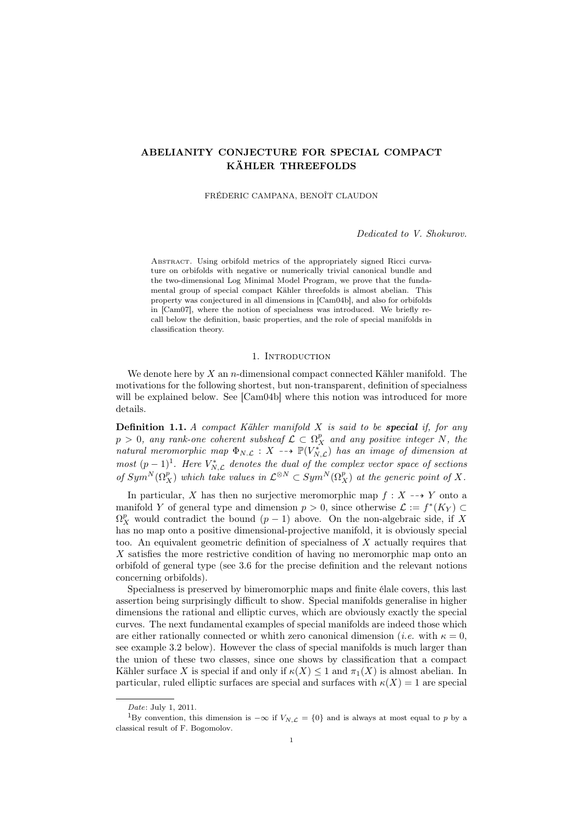# ABELIANITY CONJECTURE FOR SPECIAL COMPACT KÄHLER THREEFOLDS

FRÉDERIC CAMPANA, BENOÎT CLAUDON

Dedicated to V. Shokurov.

ABSTRACT. Using orbifold metrics of the appropriately signed Ricci curvature on orbifolds with negative or numerically trivial canonical bundle and the two-dimensional Log Minimal Model Program, we prove that the fundamental group of special compact Kähler threefolds is almost abelian. This property was conjectured in all dimensions in [Cam04b], and also for orbifolds in [Cam07], where the notion of specialness was introduced. We briefly recall below the definition, basic properties, and the role of special manifolds in classification theory.

#### 1. INTRODUCTION

We denote here by  $X$  an n-dimensional compact connected Kähler manifold. The motivations for the following shortest, but non-transparent, definition of specialness will be explained below. See [Cam04b] where this notion was introduced for more details.

**Definition 1.1.** A compact Kähler manifold  $X$  is said to be **special** if, for any  $p > 0$ , any rank-one coherent subsheaf  $\mathcal{L} \subset \Omega^p_X$  and any positive integer N, the natural meromorphic map  $\Phi_{N,\mathcal{L}}: X \dashrightarrow \mathbb{P}(V_{N,\mathcal{L}}^*)$  has an image of dimension at most  $(p-1)^1$ . Here  $V_{N,\mathcal{L}}^*$  denotes the dual of the complex vector space of sections of  $Sym^N(\Omega^p_X)$  which take values in  $\mathcal{L}^{\otimes N} \subset Sym^N(\Omega^p_X)$  at the generic point of X.

In particular, X has then no surjective meromorphic map  $f: X \dashrightarrow Y$  onto a manifold Y of general type and dimension  $p > 0$ , since otherwise  $\mathcal{L} := f^*(K_Y) \subset$  $\Omega_X^p$  would contradict the bound  $(p-1)$  above. On the non-algebraic side, if X has no map onto a positive dimensional-projective manifold, it is obviously special too. An equivalent geometric definition of specialness of  $X$  actually requires that X satisfies the more restrictive condition of having no meromorphic map onto an orbifold of general type (see 3.6 for the precise definition and the relevant notions concerning orbifolds).

Specialness is preserved by bimeromorphic maps and finite élale covers, this last assertion being surprisingly difficult to show. Special manifolds generalise in higher dimensions the rational and elliptic curves, which are obviously exactly the special curves. The next fundamental examples of special manifolds are indeed those which are either rationally connected or whith zero canonical dimension (*i.e.* with  $\kappa = 0$ , see example 3.2 below). However the class of special manifolds is much larger than the union of these two classes, since one shows by classification that a compact Kähler surface X is special if and only if  $\kappa(X) \leq 1$  and  $\pi_1(X)$  is almost abelian. In particular, ruled elliptic surfaces are special and surfaces with  $\kappa(X) = 1$  are special

Date: July 1, 2011.

<sup>&</sup>lt;sup>1</sup>By convention, this dimension is  $-\infty$  if  $V_{N,\mathcal{L}} = \{0\}$  and is always at most equal to p by a classical result of F. Bogomolov.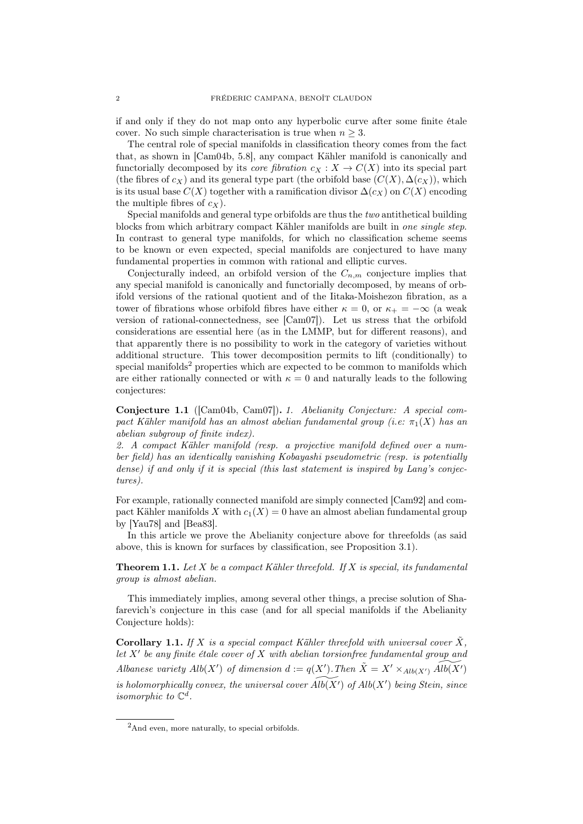if and only if they do not map onto any hyperbolic curve after some finite étale cover. No such simple characterisation is true when  $n \geq 3$ .

The central role of special manifolds in classification theory comes from the fact that, as shown in [Cam04b, 5.8], any compact Kähler manifold is canonically and functorially decomposed by its *core fibration*  $c_X : X \to C(X)$  into its special part (the fibres of  $c_X$ ) and its general type part (the orbifold base  $(C(X), \Delta(c_X))$ , which is its usual base  $C(X)$  together with a ramification divisor  $\Delta(c_X)$  on  $C(X)$  encoding the multiple fibres of  $c<sub>x</sub>$ ).

Special manifolds and general type orbifolds are thus the two antithetical building blocks from which arbitrary compact Kähler manifolds are built in one single step. In contrast to general type manifolds, for which no classification scheme seems to be known or even expected, special manifolds are conjectured to have many fundamental properties in common with rational and elliptic curves.

Conjecturally indeed, an orbifold version of the  $C_{n,m}$  conjecture implies that any special manifold is canonically and functorially decomposed, by means of orbifold versions of the rational quotient and of the Iitaka-Moishezon fibration, as a tower of fibrations whose orbifold fibres have either  $\kappa = 0$ , or  $\kappa_{+} = -\infty$  (a weak version of rational-connectedness, see [Cam07]). Let us stress that the orbifold considerations are essential here (as in the LMMP, but for different reasons), and that apparently there is no possibility to work in the category of varieties without additional structure. This tower decomposition permits to lift (conditionally) to special manifolds<sup>2</sup> properties which are expected to be common to manifolds which are either rationally connected or with  $\kappa = 0$  and naturally leads to the following conjectures:

Conjecture 1.1 ([Cam04b, Cam07]). 1. Abelianity Conjecture: A special compact Kähler manifold has an almost abelian fundamental group (i.e:  $\pi_1(X)$  has an abelian subgroup of finite index).

2. A compact Kähler manifold (resp. a projective manifold defined over a number field) has an identically vanishing Kobayashi pseudometric (resp. is potentially dense) if and only if it is special (this last statement is inspired by Lang's conjectures).

For example, rationally connected manifold are simply connected [Cam92] and compact Kähler manifolds X with  $c_1(X) = 0$  have an almost abelian fundamental group by [Yau78] and [Bea83].

In this article we prove the Abelianity conjecture above for threefolds (as said above, this is known for surfaces by classification, see Proposition 3.1).

**Theorem 1.1.** Let  $X$  be a compact Kähler threefold. If  $X$  is special, its fundamental group is almost abelian.

This immediately implies, among several other things, a precise solution of Shafarevich's conjecture in this case (and for all special manifolds if the Abelianity Conjecture holds):

**Corollary 1.1.** If X is a special compact Kähler threefold with universal cover  $\tilde{X}$ . let  $X'$  be any finite étale cover of  $X$  with abelian torsionfree fundamental group and Albanese variety  $Alb(X')$  of dimension  $d := q(X')$ . Then  $\widetilde{X} = X' \times_{Alb(X')} \widetilde{Alb(X')}$ is holomorphically convex, the universal cover  $\widetilde{Alb(X')}$  of  $Alb(X')$  being Stein, since isomorphic to  $\mathbb{C}^d$ .

<sup>2</sup>And even, more naturally, to special orbifolds.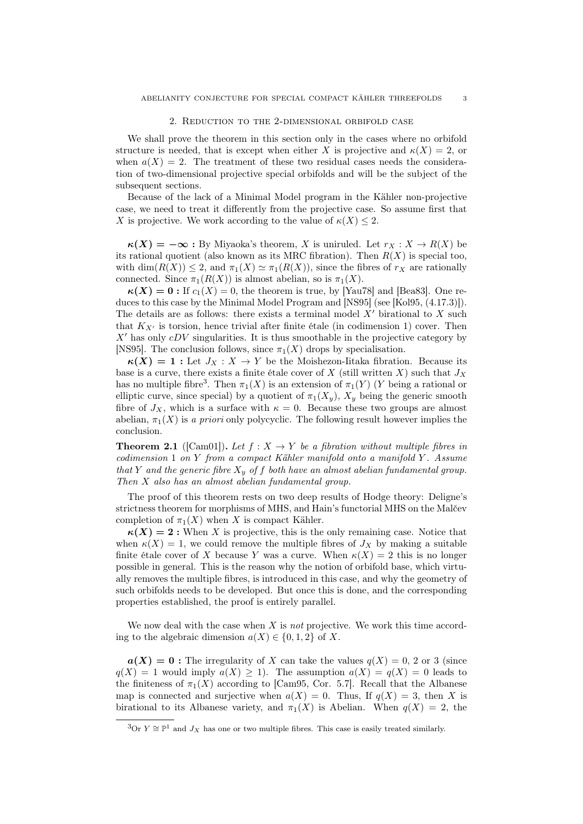## 2. Reduction to the 2-dimensional orbifold case

We shall prove the theorem in this section only in the cases where no orbifold structure is needed, that is except when either X is projective and  $\kappa(X) = 2$ , or when  $a(X) = 2$ . The treatment of these two residual cases needs the consideration of two-dimensional projective special orbifolds and will be the subject of the subsequent sections.

Because of the lack of a Minimal Model program in the Kähler non-projective case, we need to treat it differently from the projective case. So assume first that X is projective. We work according to the value of  $\kappa(X) \leq 2$ .

 $\kappa(X) = -\infty$ : By Miyaoka's theorem, X is uniruled. Let  $r_X : X \to R(X)$  be its rational quotient (also known as its MRC fibration). Then  $R(X)$  is special too, with  $\dim(R(X)) \leq 2$ , and  $\pi_1(X) \simeq \pi_1(R(X))$ , since the fibres of  $r_X$  are rationally connected. Since  $\pi_1(R(X))$  is almost abelian, so is  $\pi_1(X)$ .

 $\kappa(X) = 0$ : If  $c_1(X) = 0$ , the theorem is true, by [Yau78] and [Bea83]. One reduces to this case by the Minimal Model Program and [NS95] (see [Kol95, (4.17.3)]). The details are as follows: there exists a terminal model  $X'$  birational to X such that  $K_{X}$  is torsion, hence trivial after finite étale (in codimension 1) cover. Then  $X<sup>'</sup>$  has only cDV singularities. It is thus smoothable in the projective category by [NS95]. The conclusion follows, since  $\pi_1(X)$  drops by specialisation.

 $\kappa(X) = 1$ : Let  $J_X : X \to Y$  be the Moishezon-Iitaka fibration. Because its base is a curve, there exists a finite étale cover of X (still written X) such that  $J_X$ has no multiple fibre<sup>3</sup>. Then  $\pi_1(X)$  is an extension of  $\pi_1(Y)$  (Y being a rational or elliptic curve, since special) by a quotient of  $\pi_1(X_y)$ ,  $X_y$  being the generic smooth fibre of  $J_X$ , which is a surface with  $\kappa = 0$ . Because these two groups are almost abelian,  $\pi_1(X)$  is a priori only polycyclic. The following result however implies the conclusion.

**Theorem 2.1** ([Cam01]). Let  $f: X \to Y$  be a fibration without multiple fibres in codimension 1 on Y from a compact Kähler manifold onto a manifold Y . Assume that Y and the generic fibre  $X_y$  of f both have an almost abelian fundamental group. Then X also has an almost abelian fundamental group.

The proof of this theorem rests on two deep results of Hodge theory: Deligne's strictness theorem for morphisms of MHS, and Hain's functorial MHS on the Malčev completion of  $\pi_1(X)$  when X is compact Kähler.

 $\kappa(X) = 2$ : When X is projective, this is the only remaining case. Notice that when  $\kappa(X) = 1$ , we could remove the multiple fibres of  $J_X$  by making a suitable finite étale cover of X because Y was a curve. When  $\kappa(X) = 2$  this is no longer possible in general. This is the reason why the notion of orbifold base, which virtually removes the multiple fibres, is introduced in this case, and why the geometry of such orbifolds needs to be developed. But once this is done, and the corresponding properties established, the proof is entirely parallel.

We now deal with the case when  $X$  is not projective. We work this time according to the algebraic dimension  $a(X) \in \{0, 1, 2\}$  of X.

 $a(X) = 0$ : The irregularity of X can take the values  $q(X) = 0$ , 2 or 3 (since  $q(X) = 1$  would imply  $q(X) \ge 1$ . The assumption  $q(X) = q(X) = 0$  leads to the finiteness of  $\pi_1(X)$  according to [Cam95, Cor. 5.7]. Recall that the Albanese map is connected and surjective when  $a(X) = 0$ . Thus, If  $q(X) = 3$ , then X is birational to its Albanese variety, and  $\pi_1(X)$  is Abelian. When  $q(X) = 2$ , the

 $3$ Or  $Y \cong \mathbb{P}^1$  and  $J_X$  has one or two multiple fibres. This case is easily treated similarly.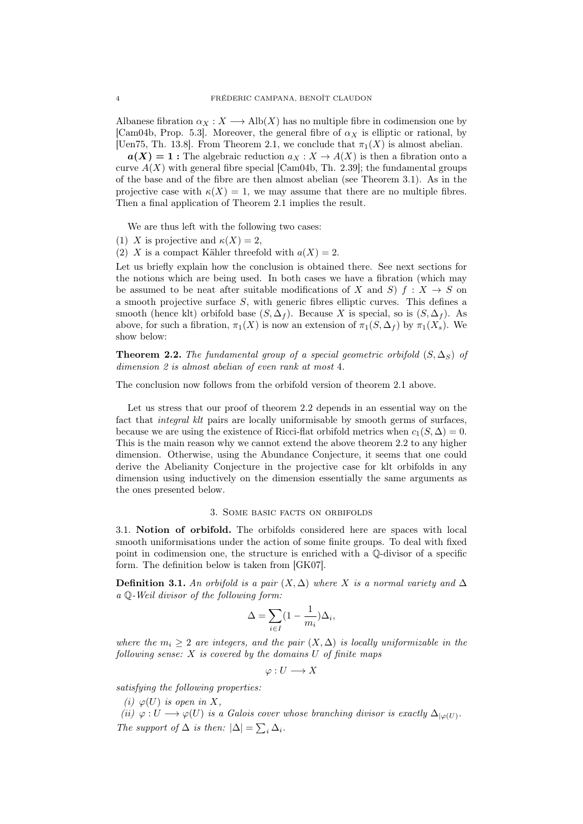Albanese fibration  $\alpha_X : X \longrightarrow \text{Alb}(X)$  has no multiple fibre in codimension one by [Cam04b, Prop. 5.3]. Moreover, the general fibre of  $\alpha_X$  is elliptic or rational, by [Uen75, Th. 13.8]. From Theorem 2.1, we conclude that  $\pi_1(X)$  is almost abelian.

 $a(X) = 1$ : The algebraic reduction  $a_X : X \to A(X)$  is then a fibration onto a curve  $A(X)$  with general fibre special [Cam04b, Th. 2.39]; the fundamental groups of the base and of the fibre are then almost abelian (see Theorem 3.1). As in the projective case with  $\kappa(X) = 1$ , we may assume that there are no multiple fibres. Then a final application of Theorem 2.1 implies the result.

We are thus left with the following two cases:

- (1) X is projective and  $\kappa(X) = 2$ ,
- (2) X is a compact Kähler threefold with  $a(X) = 2$ .

Let us briefly explain how the conclusion is obtained there. See next sections for the notions which are being used. In both cases we have a fibration (which may be assumed to be neat after suitable modifications of X and S)  $f : X \to S$  on a smooth projective surface S, with generic fibres elliptic curves. This defines a smooth (hence klt) orbifold base  $(S, \Delta_f)$ . Because X is special, so is  $(S, \Delta_f)$ . As above, for such a fibration,  $\pi_1(X)$  is now an extension of  $\pi_1(S, \Delta_f)$  by  $\pi_1(X_s)$ . We show below:

**Theorem 2.2.** The fundamental group of a special geometric orbifold  $(S, \Delta_S)$  of dimension 2 is almost abelian of even rank at most 4.

The conclusion now follows from the orbifold version of theorem 2.1 above.

Let us stress that our proof of theorem 2.2 depends in an essential way on the fact that *integral klt* pairs are locally uniformisable by smooth germs of surfaces, because we are using the existence of Ricci-flat orbifold metrics when  $c_1(S, \Delta) = 0$ . This is the main reason why we cannot extend the above theorem 2.2 to any higher dimension. Otherwise, using the Abundance Conjecture, it seems that one could derive the Abelianity Conjecture in the projective case for klt orbifolds in any dimension using inductively on the dimension essentially the same arguments as the ones presented below.

## 3. Some basic facts on orbifolds

3.1. Notion of orbifold. The orbifolds considered here are spaces with local smooth uniformisations under the action of some finite groups. To deal with fixed point in codimension one, the structure is enriched with a Q-divisor of a specific form. The definition below is taken from [GK07].

**Definition 3.1.** An orbifold is a pair  $(X, \Delta)$  where X is a normal variety and  $\Delta$ a Q-Weil divisor of the following form:

$$
\Delta = \sum_{i \in I} (1 - \frac{1}{m_i}) \Delta_i,
$$

where the  $m_i \geq 2$  are integers, and the pair  $(X, \Delta)$  is locally uniformizable in the following sense:  $X$  is covered by the domains  $U$  of finite maps

$$
\varphi: U \longrightarrow X
$$

satisfying the following properties:

(i)  $\varphi(U)$  is open in X,

(ii)  $\varphi: U \longrightarrow \varphi(U)$  is a Galois cover whose branching divisor is exactly  $\Delta_{|\varphi(U)}$ . The support of  $\Delta$  is then:  $|\Delta| = \sum_i \Delta_i$ .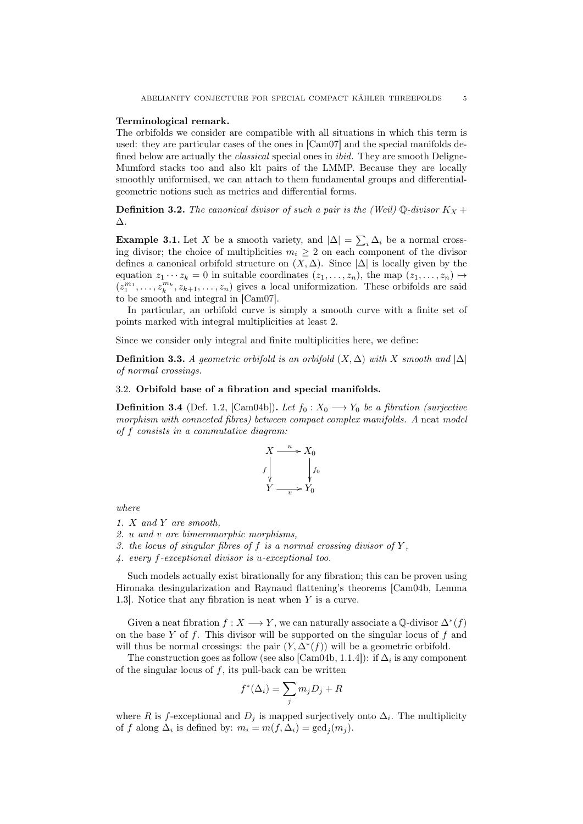## Terminological remark.

The orbifolds we consider are compatible with all situations in which this term is used: they are particular cases of the ones in [Cam07] and the special manifolds defined below are actually the *classical* special ones in *ibid.* They are smooth Deligne-Mumford stacks too and also klt pairs of the LMMP. Because they are locally smoothly uniformised, we can attach to them fundamental groups and differentialgeometric notions such as metrics and differential forms.

**Definition 3.2.** The canonical divisor of such a pair is the (Weil)  $\mathbb{Q}$ -divisor  $K_X$  + ∆.

**Example 3.1.** Let X be a smooth variety, and  $|\Delta| = \sum_i \Delta_i$  be a normal crossing divisor; the choice of multiplicities  $m_i \geq 2$  on each component of the divisor defines a canonical orbifold structure on  $(X, \Delta)$ . Since  $|\Delta|$  is locally given by the equation  $z_1 \cdots z_k = 0$  in suitable coordinates  $(z_1, \ldots, z_n)$ , the map  $(z_1, \ldots, z_n) \mapsto$  $(z_1^{m_1}, \ldots, z_k^{m_k}, z_{k+1}, \ldots, z_n)$  gives a local uniformization. These orbifolds are said to be smooth and integral in [Cam07].

In particular, an orbifold curve is simply a smooth curve with a finite set of points marked with integral multiplicities at least 2.

Since we consider only integral and finite multiplicities here, we define:

**Definition 3.3.** A geometric orbifold is an orbifold  $(X, \Delta)$  with X smooth and  $|\Delta|$ of normal crossings.

# 3.2. Orbifold base of a fibration and special manifolds.

**Definition 3.4** (Def. 1.2, [Cam04b]). Let  $f_0 : X_0 \longrightarrow Y_0$  be a fibration (surjective morphism with connected fibres) between compact complex manifolds. A neat model of f consists in a commutative diagram:



where

- 1. X and Y are smooth,
- 2. u and v are bimeromorphic morphisms,
- 3. the locus of singular fibres of f is a normal crossing divisor of  $Y$ ,
- 4. every f-exceptional divisor is u-exceptional too.

Such models actually exist birationally for any fibration; this can be proven using Hironaka desingularization and Raynaud flattening's theorems [Cam04b, Lemma 1.3]. Notice that any fibration is neat when Y is a curve.

Given a neat fibration  $f: X \longrightarrow Y$ , we can naturally associate a Q-divisor  $\Delta^*(f)$ on the base Y of f. This divisor will be supported on the singular locus of f and will thus be normal crossings: the pair  $(Y, \Delta^*(f))$  will be a geometric orbifold.

The construction goes as follow (see also [Cam04b, 1.1.4]): if  $\Delta_i$  is any component of the singular locus of  $f$ , its pull-back can be written

$$
f^*(\Delta_i) = \sum_j m_j D_j + R
$$

where R is f-exceptional and  $D_j$  is mapped surjectively onto  $\Delta_i$ . The multiplicity of f along  $\Delta_i$  is defined by:  $m_i = m(f, \Delta_i) = \gcd_j(m_j)$ .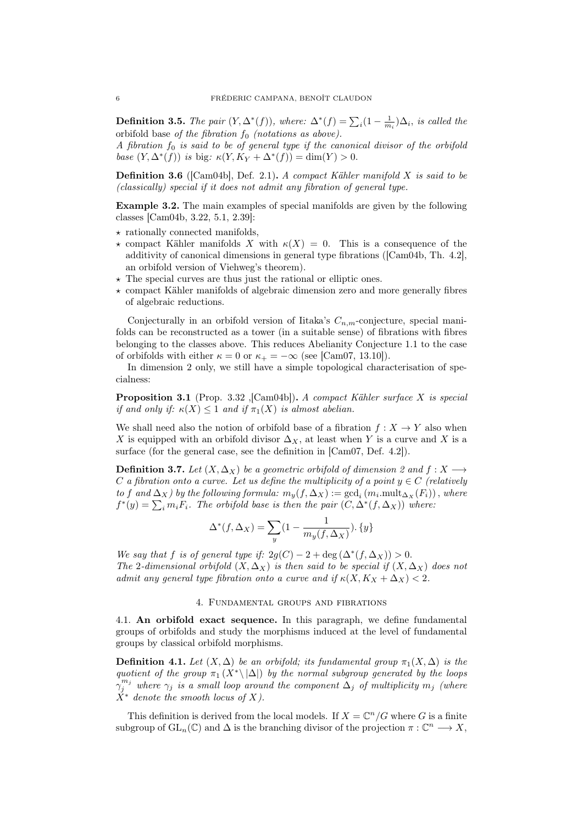**Definition 3.5.** The pair  $(Y, \Delta^*(f))$ , where:  $\Delta^*(f) = \sum_i (1 - \frac{1}{m_i}) \Delta_i$ , is called the orbifold base of the fibration  $f_0$  (notations as above).

A fibration  $f_0$  is said to be of general type if the canonical divisor of the orbifold base  $(Y, \Delta^*(f))$  is big:  $\kappa(Y, K_Y + \Delta^*(f)) = \dim(Y) > 0$ .

**Definition 3.6** ([Cam04b], Def. 2.1). A compact Kähler manifold X is said to be (classically) special if it does not admit any fibration of general type.

Example 3.2. The main examples of special manifolds are given by the following classes [Cam04b, 3.22, 5.1, 2.39]:

- $\star$  rationally connected manifolds,
- $\star$  compact Kähler manifolds X with  $\kappa(X) = 0$ . This is a consequence of the additivity of canonical dimensions in general type fibrations ([Cam04b, Th. 4.2], an orbifold version of Viehweg's theorem).
- $\star$  The special curves are thus just the rational or elliptic ones.
- $\star$  compact Kähler manifolds of algebraic dimension zero and more generally fibres of algebraic reductions.

Conjecturally in an orbifold version of Iitaka's  $C_{n,m}$ -conjecture, special manifolds can be reconstructed as a tower (in a suitable sense) of fibrations with fibres belonging to the classes above. This reduces Abelianity Conjecture 1.1 to the case of orbifolds with either  $\kappa = 0$  or  $\kappa_{+} = -\infty$  (see [Cam07, 13.10]).

In dimension 2 only, we still have a simple topological characterisation of specialness:

**Proposition 3.1** (Prop. 3.32 , [Cam04b]). A compact Kähler surface X is special if and only if:  $\kappa(X) \leq 1$  and if  $\pi_1(X)$  is almost abelian.

We shall need also the notion of orbifold base of a fibration  $f: X \to Y$  also when X is equipped with an orbifold divisor  $\Delta_X$ , at least when Y is a curve and X is a surface (for the general case, see the definition in [Cam07, Def. 4.2]).

**Definition 3.7.** Let  $(X, \Delta_X)$  be a geometric orbifold of dimension 2 and  $f : X \rightarrow$ C a fibration onto a curve. Let us define the multiplicity of a point  $y \in C$  (relatively to f and  $\Delta_X$ ) by the following formula:  $m_y(f, \Delta_X) := \gcd_i(m_i)$ , where  $f^*(y) = \sum_i m_i F_i$ . The orbifold base is then the pair  $(C, \Delta^*(f, \Delta_X))$  where:

$$
\Delta^*(f,\Delta_X) = \sum_y (1 - \frac{1}{m_y(f,\Delta_X)}) \tag{9}
$$

We say that f is of general type if:  $2g(C) - 2 + \deg(\Delta^*(f, \Delta_X)) > 0$ . The 2-dimensional orbifold  $(X, \Delta_X)$  is then said to be special if  $(X, \Delta_X)$  does not admit any general type fibration onto a curve and if  $\kappa(X, K_X + \Delta_X) < 2$ .

## 4. Fundamental groups and fibrations

4.1. An orbifold exact sequence. In this paragraph, we define fundamental groups of orbifolds and study the morphisms induced at the level of fundamental groups by classical orbifold morphisms.

**Definition 4.1.** Let  $(X, \Delta)$  be an orbifold; its fundamental group  $\pi_1(X, \Delta)$  is the quotient of the group  $\pi_1(X^*\setminus |\Delta|)$  by the normal subgroup generated by the loops  $\tilde{\gamma}_j^{m_j}$  where  $\gamma_j$  is a small loop around the component  $\tilde{\Delta}_j$  of multiplicity  $m_j$  (where  $X^*$  denote the smooth locus of X).

This definition is derived from the local models. If  $X = \mathbb{C}^n/G$  where G is a finite subgroup of  $\mathrm{GL}_n(\mathbb{C})$  and  $\Delta$  is the branching divisor of the projection  $\pi : \mathbb{C}^n \longrightarrow X$ ,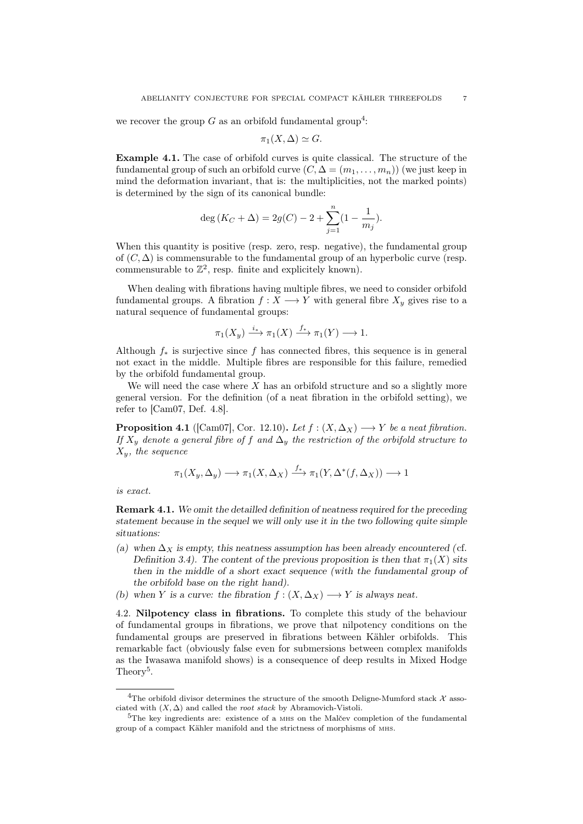we recover the group G as an orbifold fundamental group<sup>4</sup>:

$$
\pi_1(X, \Delta) \simeq G.
$$

Example 4.1. The case of orbifold curves is quite classical. The structure of the fundamental group of such an orbifold curve  $(C, \Delta = (m_1, \ldots, m_n))$  (we just keep in mind the deformation invariant, that is: the multiplicities, not the marked points) is determined by the sign of its canonical bundle:

$$
\deg(K_C + \Delta) = 2g(C) - 2 + \sum_{j=1}^{n} (1 - \frac{1}{m_j}).
$$

When this quantity is positive (resp. zero, resp. negative), the fundamental group of  $(C, \Delta)$  is commensurable to the fundamental group of an hyperbolic curve (resp. commensurable to  $\mathbb{Z}^2$ , resp. finite and explicitely known).

When dealing with fibrations having multiple fibres, we need to consider orbifold fundamental groups. A fibration  $f : X \longrightarrow Y$  with general fibre  $X_y$  gives rise to a natural sequence of fundamental groups:

$$
\pi_1(X_y) \xrightarrow{i_*} \pi_1(X) \xrightarrow{f_*} \pi_1(Y) \longrightarrow 1.
$$

Although  $f_*$  is surjective since f has connected fibres, this sequence is in general not exact in the middle. Multiple fibres are responsible for this failure, remedied by the orbifold fundamental group.

We will need the case where  $X$  has an orbifold structure and so a slightly more general version. For the definition (of a neat fibration in the orbifold setting), we refer to [Cam07, Def. 4.8].

**Proposition 4.1** ([Cam07], Cor. 12.10). Let  $f : (X, \Delta_X) \longrightarrow Y$  be a neat fibration. If  $X_y$  denote a general fibre of f and  $\Delta_y$  the restriction of the orbifold structure to  $X_y$ , the sequence

$$
\pi_1(X_y, \Delta_y) \longrightarrow \pi_1(X, \Delta_X) \xrightarrow{f_*} \pi_1(Y, \Delta^*(f, \Delta_X)) \longrightarrow 1
$$

is exact.

Remark 4.1. We omit the detailled definition of neatness required for the preceding statement because in the sequel we will only use it in the two following quite simple situations:

- (a) when  $\Delta_X$  is empty, this neatness assumption has been already encountered (cf. Definition 3.4). The content of the previous proposition is then that  $\pi_1(X)$  sits then in the middle of a short exact sequence (with the fundamental group of the orbifold base on the right hand).
- (b) when Y is a curve: the fibration  $f : (X, \Delta_X) \longrightarrow Y$  is always neat.

4.2. Nilpotency class in fibrations. To complete this study of the behaviour of fundamental groups in fibrations, we prove that nilpotency conditions on the fundamental groups are preserved in fibrations between Kähler orbifolds. This remarkable fact (obviously false even for submersions between complex manifolds as the Iwasawa manifold shows) is a consequence of deep results in Mixed Hodge Theory<sup>5</sup>.

<sup>&</sup>lt;sup>4</sup>The orbifold divisor determines the structure of the smooth Deligne-Mumford stack  $\mathcal{X}$  associated with  $(X, \Delta)$  and called the *root stack* by Abramovich-Vistoli.

<sup>&</sup>lt;sup>5</sup>The key ingredients are: existence of a MHs on the Malčev completion of the fundamental group of a compact Kähler manifold and the strictness of morphisms of mhs.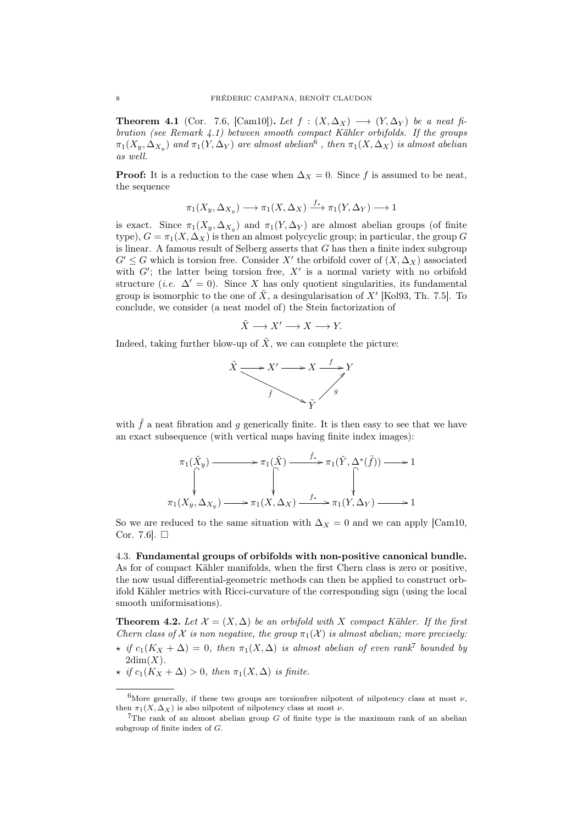**Theorem 4.1** (Cor. 7.6, [Cam10]). Let  $f : (X, \Delta_X) \longrightarrow (Y, \Delta_Y)$  be a neat fibration (see Remark 4.1) between smooth compact Kähler orbifolds. If the groups  $\pi_1(X_y,\Delta_{X_y})$  and  $\pi_1(Y,\Delta_Y)$  are almost abelian<sup>6</sup>, then  $\pi_1(X,\Delta_X)$  is almost abelian as well.

**Proof:** It is a reduction to the case when  $\Delta_X = 0$ . Since f is assumed to be neat, the sequence

$$
\pi_1(X_y, \Delta_{X_y}) \longrightarrow \pi_1(X, \Delta_X) \xrightarrow{f_*} \pi_1(Y, \Delta_Y) \longrightarrow 1
$$

is exact. Since  $\pi_1(X_y, \Delta_{X_y})$  and  $\pi_1(Y, \Delta_Y)$  are almost abelian groups (of finite type),  $G = \pi_1(X, \Delta_X)$  is then an almost polycyclic group; in particular, the group G is linear. A famous result of Selberg asserts that G has then a finite index subgroup  $G' \leq G$  which is torsion free. Consider X' the orbifold cover of  $(X, \Delta_X)$  associated with  $G'$ ; the latter being torsion free,  $X'$  is a normal variety with no orbifold structure (*i.e.*  $\Delta' = 0$ ). Since X has only quotient singularities, its fundamental group is isomorphic to the one of  $\tilde{X}$ , a desingularisation of X' [Kol93, Th. 7.5]. To conclude, we consider (a neat model of) the Stein factorization of

$$
\tilde{X} \longrightarrow X' \longrightarrow X \longrightarrow Y.
$$

Indeed, taking further blow-up of  $\tilde{X}$ , we can complete the picture:



with  $\tilde{f}$  a neat fibration and g generically finite. It is then easy to see that we have an exact subsequence (with vertical maps having finite index images):

$$
\pi_1(\tilde{X}_y) \longrightarrow \pi_1(\tilde{X}) \longrightarrow \tilde{f}_* \pi_1(\tilde{Y}, \Delta^*(\tilde{f})) \longrightarrow 1
$$
  
\n
$$
\uparrow \qquad \qquad \downarrow \qquad \qquad \downarrow
$$
  
\n
$$
\pi_1(X_y, \Delta_{X_y}) \longrightarrow \pi_1(X, \Delta_X) \xrightarrow{f_*} \pi_1(Y, \Delta_Y) \longrightarrow 1
$$

So we are reduced to the same situation with  $\Delta_X = 0$  and we can apply [Cam10, Cor. 7.6.  $\Box$ 

4.3. Fundamental groups of orbifolds with non-positive canonical bundle. As for of compact Kähler manifolds, when the first Chern class is zero or positive, the now usual differential-geometric methods can then be applied to construct orbifold Kähler metrics with Ricci-curvature of the corresponding sign (using the local smooth uniformisations).

**Theorem 4.2.** Let  $\mathcal{X} = (X, \Delta)$  be an orbifold with X compact Kähler. If the first Chern class of X is non negative, the group  $\pi_1(\mathcal{X})$  is almost abelian; more precisely:

- $\star$  if  $c_1(K_X + \Delta) = 0$ , then  $\pi_1(X, \Delta)$  is almost abelian of even rank<sup>7</sup> bounded by  $2dim(X)$ .
- $\star$  if  $c_1(K_X + \Delta) > 0$ , then  $\pi_1(X, \Delta)$  is finite.

<sup>&</sup>lt;sup>6</sup>More generally, if these two groups are torsionfree nilpotent of nilpotency class at most  $\nu$ , then  $\pi_1(X, \Delta_X)$  is also nilpotent of nilpotency class at most  $\nu$ .

<sup>&</sup>lt;sup>7</sup>The rank of an almost abelian group  $G$  of finite type is the maximum rank of an abelian subgroup of finite index of G.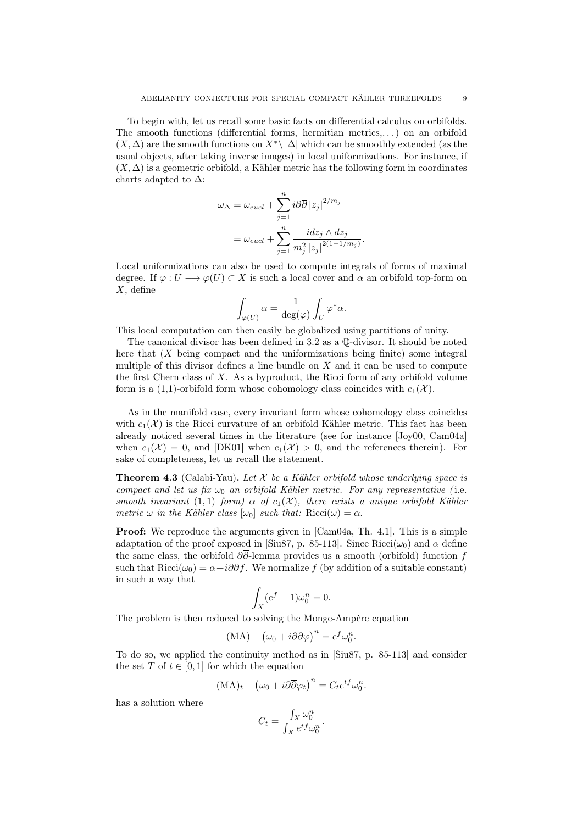To begin with, let us recall some basic facts on differential calculus on orbifolds. The smooth functions (differential forms, hermitian metrics,...) on an orbifold  $(X, \Delta)$  are the smooth functions on  $X^* \setminus |\Delta|$  which can be smoothly extended (as the usual objects, after taking inverse images) in local uniformizations. For instance, if  $(X, \Delta)$  is a geometric orbifold, a Kähler metric has the following form in coordinates charts adapted to  $\Delta$ :

$$
\omega_{\Delta} = \omega_{eucl} + \sum_{j=1}^{n} i \partial \overline{\partial} |z_j|^{2/m_j}
$$

$$
= \omega_{eucl} + \sum_{j=1}^{n} \frac{i dz_j \wedge d\overline{z_j}}{m_j^2 |z_j|^{2(1-1/m_j)}}
$$

.

Local uniformizations can also be used to compute integrals of forms of maximal degree. If  $\varphi: U \longrightarrow \varphi(U) \subset X$  is such a local cover and  $\alpha$  an orbifold top-form on  $X$ , define

$$
\int_{\varphi(U)} \alpha = \frac{1}{\deg(\varphi)} \int_U \varphi^* \alpha.
$$

This local computation can then easily be globalized using partitions of unity.

The canonical divisor has been defined in 3.2 as a Q-divisor. It should be noted here that (X being compact and the uniformizations being finite) some integral multiple of this divisor defines a line bundle on  $X$  and it can be used to compute the first Chern class of  $X$ . As a byproduct, the Ricci form of any orbifold volume form is a (1,1)-orbifold form whose cohomology class coincides with  $c_1(\mathcal{X})$ .

As in the manifold case, every invariant form whose cohomology class coincides with  $c_1(\mathcal{X})$  is the Ricci curvature of an orbifold Kähler metric. This fact has been already noticed several times in the literature (see for instance [Joy00, Cam04a] when  $c_1(\mathcal{X}) = 0$ , and [DK01] when  $c_1(\mathcal{X}) > 0$ , and the references therein). For sake of completeness, let us recall the statement.

**Theorem 4.3** (Calabi-Yau). Let X be a Kähler orbifold whose underlying space is compact and let us fix  $\omega_0$  an orbifold Kähler metric. For any representative (i.e. smooth invariant  $(1,1)$  form)  $\alpha$  of  $c_1(\mathcal{X})$ , there exists a unique orbifold Kähler metric  $\omega$  in the Kähler class  $[\omega_0]$  such that:  $Ricci(\omega) = \alpha$ .

Proof: We reproduce the arguments given in [Cam04a, Th. 4.1]. This is a simple adaptation of the proof exposed in [Siu87, p. 85-113]. Since Ricci( $\omega_0$ ) and  $\alpha$  define the same class, the orbifold  $\partial \overline{\partial}$ -lemma provides us a smooth (orbifold) function f such that Ricci( $\omega_0$ ) =  $\alpha + i\partial \overline{\partial} f$ . We normalize f (by addition of a suitable constant) in such a way that

$$
\int_X (e^f - 1)\omega_0^n = 0.
$$

The problem is then reduced to solving the Monge-Ampère equation

$$
(MA) \quad (\omega_0 + i\partial\overline{\partial}\varphi)^n = e^f \omega_0^n.
$$

To do so, we applied the continuity method as in [Siu87, p. 85-113] and consider the set T of  $t \in [0, 1]$  for which the equation

$$
(\text{MA})_t \quad (\omega_0 + i\partial\overline{\partial}\varphi_t)^n = C_t e^{tf} \omega_0^n.
$$

has a solution where

$$
C_t = \frac{\int_X \omega_0^n}{\int_X e^{tf} \omega_0^n}.
$$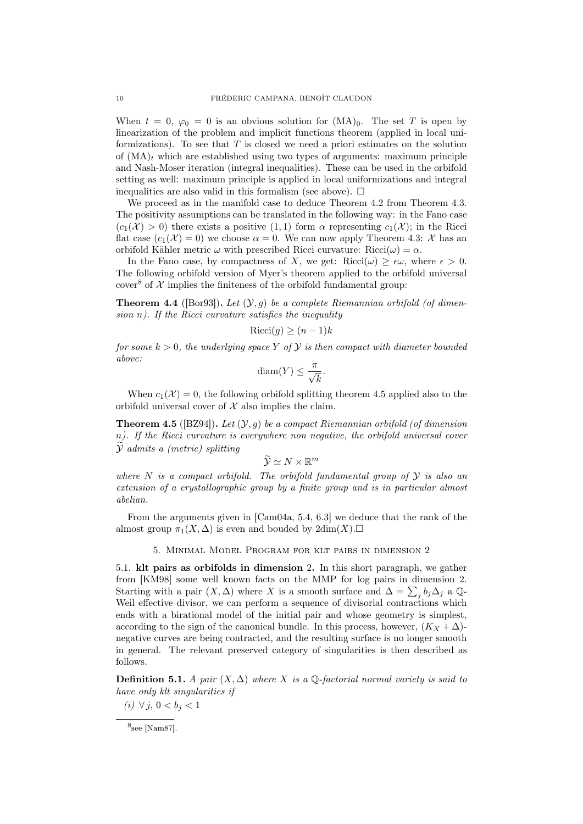When  $t = 0$ ,  $\varphi_0 = 0$  is an obvious solution for  $(MA)_0$ . The set T is open by linearization of the problem and implicit functions theorem (applied in local uniformizations). To see that  $T$  is closed we need a priori estimates on the solution of  $(MA)_t$  which are established using two types of arguments: maximum principle and Nash-Moser iteration (integral inequalities). These can be used in the orbifold setting as well: maximum principle is applied in local uniformizations and integral inequalities are also valid in this formalism (see above).  $\Box$ 

We proceed as in the manifold case to deduce Theorem 4.2 from Theorem 4.3. The positivity assumptions can be translated in the following way: in the Fano case  $(c_1(\mathcal{X}) > 0)$  there exists a positive  $(1, 1)$  form  $\alpha$  representing  $c_1(\mathcal{X})$ ; in the Ricci flat case  $(c_1(\mathcal{X}) = 0)$  we choose  $\alpha = 0$ . We can now apply Theorem 4.3: X has an orbifold Kähler metric  $\omega$  with prescribed Ricci curvature: Ricci $(\omega) = \alpha$ .

In the Fano case, by compactness of X, we get: Ricci $(\omega) \geq \epsilon \omega$ , where  $\epsilon > 0$ . The following orbifold version of Myer's theorem applied to the orbifold universal cover<sup>8</sup> of  $X$  implies the finiteness of the orbifold fundamental group:

**Theorem 4.4** ([Bor93]). Let  $(Y, g)$  be a complete Riemannian orbifold (of dimension  $n$ ). If the Ricci curvature satisfies the inequality

$$
Ricci(g) \ge (n-1)k
$$

for some  $k > 0$ , the underlying space Y of Y is then compact with diameter bounded above:

$$
diam(Y) \le \frac{\pi}{\sqrt{k}}.
$$

When  $c_1(\mathcal{X}) = 0$ , the following orbifold splitting theorem 4.5 applied also to the orbifold universal cover of  $X$  also implies the claim.

**Theorem 4.5** ([BZ94]). Let  $(\mathcal{Y}, g)$  be a compact Riemannian orbifold (of dimension n). If the Ricci curvature is everywhere non negative, the orbifold universal cover  $\widetilde{\mathcal{Y}}$  admits a (metric) splitting

$$
\widetilde{\mathcal{Y}} \simeq N \times \mathbb{R}^m
$$

where  $N$  is a compact orbifold. The orbifold fundamental group of  $Y$  is also an extension of a crystallographic group by a finite group and is in particular almost abelian.

From the arguments given in [Cam04a, 5.4, 6.3] we deduce that the rank of the almost group  $\pi_1(X, \Delta)$  is even and bouded by  $2dim(X)$ .

5. Minimal Model Program for klt pairs in dimension 2

5.1. klt pairs as orbifolds in dimension 2. In this short paragraph, we gather from [KM98] some well known facts on the MMP for log pairs in dimension 2. Starting with a pair  $(X, \Delta)$  where X is a smooth surface and  $\Delta = \sum_j b_j \Delta_j$  a Q-Weil effective divisor, we can perform a sequence of divisorial contractions which ends with a birational model of the initial pair and whose geometry is simplest, according to the sign of the canonical bundle. In this process, however,  $(K_X + \Delta)$ negative curves are being contracted, and the resulting surface is no longer smooth in general. The relevant preserved category of singularities is then described as follows.

**Definition 5.1.** A pair  $(X, \Delta)$  where X is a Q-factorial normal variety is said to have only klt singularities if

$$
(i) \ \forall j, \ 0 < b_j < 1
$$

<sup>8</sup> see [Nam87].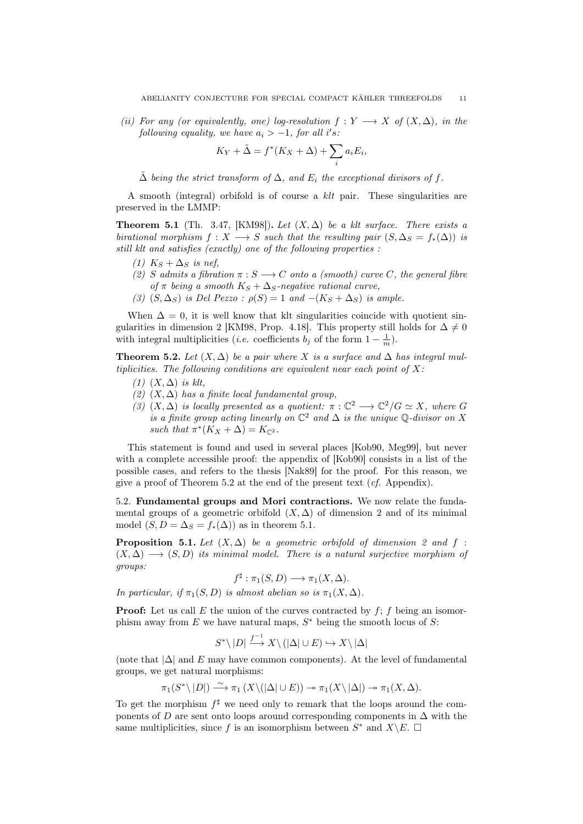(ii) For any (or equivalently, one) log-resolution  $f: Y \longrightarrow X$  of  $(X, \Delta)$ , in the following equality, we have  $a_i > -1$ , for all i's:

$$
K_Y + \tilde{\Delta} = f^*(K_X + \Delta) + \sum_i a_i E_i,
$$

 $\tilde{\Delta}$  being the strict transform of  $\Delta$ , and  $E_i$  the exceptional divisors of f.

A smooth (integral) orbifold is of course a klt pair. These singularities are preserved in the LMMP:

**Theorem 5.1** (Th. 3.47, [KM98]). Let  $(X, \Delta)$  be a klt surface. There exists a birational morphism  $f: X \longrightarrow S$  such that the resulting pair  $(S, \Delta_S = f_*(\Delta))$  is still klt and satisfies (exactly) one of the following properties :

- (1)  $K_S + \Delta_S$  is nef,
- (2) S admits a fibration  $\pi : S \longrightarrow C$  onto a (smooth) curve C, the general fibre of  $\pi$  being a smooth  $K_S + \Delta_S$ -negative rational curve,
- (3)  $(S, \Delta_S)$  is Del Pezzo :  $\rho(S) = 1$  and  $-(K_S + \Delta_S)$  is ample.

When  $\Delta = 0$ , it is well know that klt singularities coincide with quotient singularities in dimension 2 [KM98, Prop. 4.18]. This property still holds for  $\Delta \neq 0$ with integral multiplicities (*i.e.* coefficients  $b_j$  of the form  $1 - \frac{1}{m}$ ).

**Theorem 5.2.** Let  $(X, \Delta)$  be a pair where X is a surface and  $\Delta$  has integral multiplicities. The following conditions are equivalent near each point of  $X$ :

- (1)  $(X, \Delta)$  is klt.
- (2)  $(X, \Delta)$  has a finite local fundamental group,
- (3)  $(X, \Delta)$  is locally presented as a quotient:  $\pi : \mathbb{C}^2 \longrightarrow \mathbb{C}^2/G \simeq X$ , where G is a finite group acting linearly on  $\mathbb{C}^2$  and  $\Delta$  is the unique  $\mathbb Q$ -divisor on X such that  $\pi^*(K_X + \Delta) = K_{\mathbb{C}^2}$ .

This statement is found and used in several places [Kob90, Meg99], but never with a complete accessible proof: the appendix of [Kob90] consists in a list of the possible cases, and refers to the thesis [Nak89] for the proof. For this reason, we give a proof of Theorem 5.2 at the end of the present text  $(cf.$  Appendix).

5.2. Fundamental groups and Mori contractions. We now relate the fundamental groups of a geometric orbifold  $(X, \Delta)$  of dimension 2 and of its minimal model  $(S, D = \Delta_S = f_*(\Delta))$  as in theorem 5.1.

**Proposition 5.1.** Let  $(X, \Delta)$  be a geometric orbifold of dimension 2 and f:  $(X, \Delta) \longrightarrow (S, D)$  its minimal model. There is a natural surjective morphism of groups:

$$
f^{\sharp} : \pi_1(S, D) \longrightarrow \pi_1(X, \Delta).
$$

In particular, if  $\pi_1(S, D)$  is almost abelian so is  $\pi_1(X, \Delta)$ .

**Proof:** Let us call E the union of the curves contracted by  $f$ ;  $f$  being an isomorphism away from  $E$  we have natural maps,  $S^*$  being the smooth locus of  $S$ :

$$
S^* \setminus |D| \xrightarrow{f^{-1}} X \setminus (|\Delta| \cup E) \hookrightarrow X \setminus |\Delta|
$$

(note that  $|\Delta|$  and E may have common components). At the level of fundamental groups, we get natural morphisms:

$$
\pi_1(S^* \setminus |D|) \stackrel{\sim}{\longrightarrow} \pi_1(X \setminus (|\Delta| \cup E)) \twoheadrightarrow \pi_1(X \setminus |\Delta|) \twoheadrightarrow \pi_1(X, \Delta).
$$

To get the morphism  $f^{\sharp}$  we need only to remark that the loops around the components of D are sent onto loops around corresponding components in  $\Delta$  with the same multiplicities, since f is an isomorphism between  $S^*$  and  $X\backslash E$ .  $\square$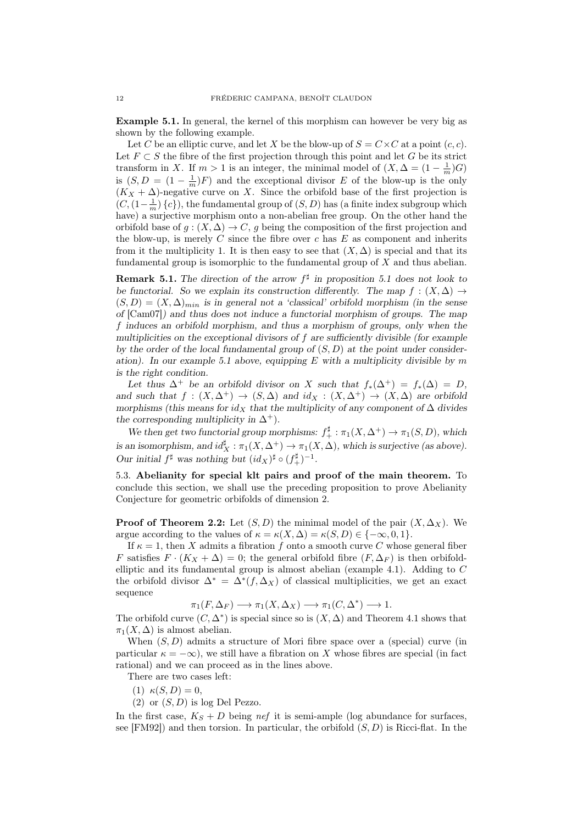Example 5.1. In general, the kernel of this morphism can however be very big as shown by the following example.

Let C be an elliptic curve, and let X be the blow-up of  $S = C \times C$  at a point  $(c, c)$ . Let  $F \subset S$  the fibre of the first projection through this point and let G be its strict transform in X. If  $m > 1$  is an integer, the minimal model of  $(X, \Delta = (1 - \frac{1}{m})G)$ is  $(S, D = (1 - \frac{1}{m})F)$  and the exceptional divisor E of the blow-up is the only  $(K_X + \Delta)$ -negative curve on X. Since the orbifold base of the first projection is  $(C,(1-\frac{1}{m})$  {c}), the fundamental group of  $(S, D)$  has (a finite index subgroup which have) a surjective morphism onto a non-abelian free group. On the other hand the orbifold base of  $g : (X, \Delta) \to C$ , g being the composition of the first projection and the blow-up, is merely C since the fibre over c has  $E$  as component and inherits from it the multiplicity 1. It is then easy to see that  $(X, \Delta)$  is special and that its fundamental group is isomorphic to the fundamental group of  $X$  and thus abelian.

**Remark 5.1.** The direction of the arrow  $f^{\sharp}$  in proposition 5.1 does not look to be functorial. So we explain its construction differently. The map  $f : (X, \Delta) \rightarrow$  $(S, D) = (X, \Delta)_{min}$  is in general not a 'classical' orbifold morphism (in the sense of [Cam07]) and thus does not induce a functorial morphism of groups. The map f induces an orbifold morphism, and thus a morphism of groups, only when the multiplicities on the exceptional divisors of f are sufficiently divisible (for example by the order of the local fundamental group of  $(S, D)$  at the point under consideration). In our example 5.1 above, equipping  $E$  with a multiplicity divisible by m is the right condition.

Let thus  $\Delta^+$  be an orbifold divisor on X such that  $f_*(\Delta^+) = f_*(\Delta) = D$ . and such that  $f : (X, \Delta^+) \to (S, \Delta)$  and  $id_X : (X, \Delta^+) \to (X, \Delta)$  are orbifold morphisms (this means for id<sub>X</sub> that the multiplicity of any component of  $\Delta$  divides the corresponding multiplicity in  $\Delta^+$ ).

We then get two functorial group morphisms:  $f_+^{\sharp}: \pi_1(X, \Delta^+) \to \pi_1(S, D)$ , which is an isomorphism, and  $id_X^{\sharp} : \pi_1(X, \Delta^+) \to \pi_1(X, \Delta)$ , which is surjective (as above). Our initial  $f^{\sharp}$  was nothing but  $(id_X)^{\sharp} \circ (f_+^{\sharp})^{-1}$ .

5.3. Abelianity for special klt pairs and proof of the main theorem. To conclude this section, we shall use the preceding proposition to prove Abelianity Conjecture for geometric orbifolds of dimension 2.

**Proof of Theorem 2.2:** Let  $(S, D)$  the minimal model of the pair  $(X, \Delta_X)$ . We argue according to the values of  $\kappa = \kappa(X, \Delta) = \kappa(S, D) \in \{-\infty, 0, 1\}.$ 

If  $\kappa = 1$ , then X admits a fibration f onto a smooth curve C whose general fiber F satisfies  $F \cdot (K_X + \Delta) = 0$ ; the general orbifold fibre  $(F, \Delta_F)$  is then orbifoldelliptic and its fundamental group is almost abelian (example 4.1). Adding to C the orbifold divisor  $\Delta^* = \Delta^*(f, \Delta_X)$  of classical multiplicities, we get an exact sequence

$$
\pi_1(F, \Delta_F) \longrightarrow \pi_1(X, \Delta_X) \longrightarrow \pi_1(C, \Delta^*) \longrightarrow 1.
$$

The orbifold curve  $(C, \Delta^*)$  is special since so is  $(X, \Delta)$  and Theorem 4.1 shows that  $\pi_1(X, \Delta)$  is almost abelian.

When  $(S, D)$  admits a structure of Mori fibre space over a (special) curve (in particular  $\kappa = -\infty$ ), we still have a fibration on X whose fibres are special (in fact rational) and we can proceed as in the lines above.

There are two cases left:

- (1)  $\kappa(S, D) = 0$ ,
- (2) or  $(S, D)$  is log Del Pezzo.

In the first case,  $K_S + D$  being nef it is semi-ample (log abundance for surfaces, see  $[FM92]$ ) and then torsion. In particular, the orbifold  $(S, D)$  is Ricci-flat. In the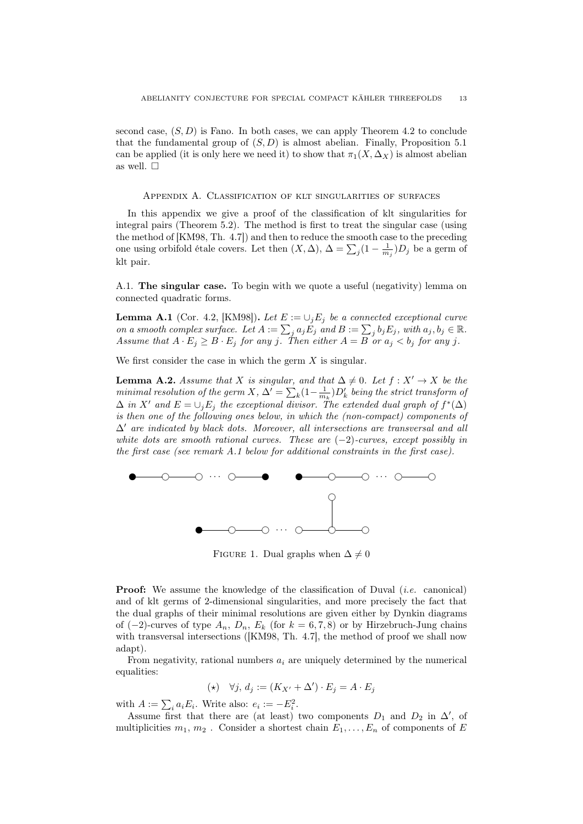second case,  $(S, D)$  is Fano. In both cases, we can apply Theorem 4.2 to conclude that the fundamental group of  $(S, D)$  is almost abelian. Finally, Proposition 5.1 can be applied (it is only here we need it) to show that  $\pi_1(X, \Delta_X)$  is almost abelian as well.  $\square$ 

Appendix A. Classification of klt singularities of surfaces

In this appendix we give a proof of the classification of klt singularities for integral pairs (Theorem 5.2). The method is first to treat the singular case (using the method of [KM98, Th. 4.7]) and then to reduce the smooth case to the preceding one using orbifold étale covers. Let then  $(X, \Delta)$ ,  $\Delta = \sum_j (1 - \frac{1}{m_j}) D_j$  be a germ of klt pair.

A.1. The singular case. To begin with we quote a useful (negativity) lemma on connected quadratic forms.

**Lemma A.1** (Cor. 4.2, [KM98]). Let  $E := \bigcup_j E_j$  be a connected exceptional curve on a smooth complex surface. Let  $A := \sum_j a_j \tilde{E_j}$  and  $B := \sum_j b_j E_j$ , with  $a_j, b_j \in \mathbb{R}$ . Assume that  $A \cdot E_j \geq B \cdot E_j$  for any j. Then either  $A = B$  or  $a_j < b_j$  for any j.

We first consider the case in which the germ  $X$  is singular.

**Lemma A.2.** Assume that X is singular, and that  $\Delta \neq 0$ . Let  $f : X' \rightarrow X$  be the minimal resolution of the germ  $X$ ,  $\Delta' = \sum_{k} (1 - \frac{1}{m_k}) D'_k$  being the strict transform of  $\Delta$  in X' and  $E = \cup_j E_j$  the exceptional divisor. The extended dual graph of  $f^*(\Delta)$ is then one of the following ones below, in which the (non-compact) components of  $\Delta'$  are indicated by black dots. Moreover, all intersections are transversal and all white dots are smooth rational curves. These are  $(-2)$ -curves, except possibly in the first case (see remark A.1 below for additional constraints in the first case).



FIGURE 1. Dual graphs when  $\Delta \neq 0$ 

**Proof:** We assume the knowledge of the classification of Duval  $(i.e.$  canonical) and of klt germs of 2-dimensional singularities, and more precisely the fact that the dual graphs of their minimal resolutions are given either by Dynkin diagrams of (−2)-curves of type  $A_n$ ,  $D_n$ ,  $E_k$  (for  $k = 6, 7, 8$ ) or by Hirzebruch-Jung chains with transversal intersections ([KM98, Th. 4.7], the method of proof we shall now adapt).

From negativity, rational numbers  $a_i$  are uniquely determined by the numerical equalities:

$$
(\star) \quad \forall j, \, d_j := (K_{X'} + \Delta') \cdot E_j = A \cdot E_j
$$

with  $A := \sum_i a_i E_i$ . Write also:  $e_i := -E_i^2$ .

Assume first that there are (at least) two components  $D_1$  and  $D_2$  in  $\Delta'$ , of multiplicities  $m_1, m_2$ . Consider a shortest chain  $E_1, \ldots, E_n$  of components of E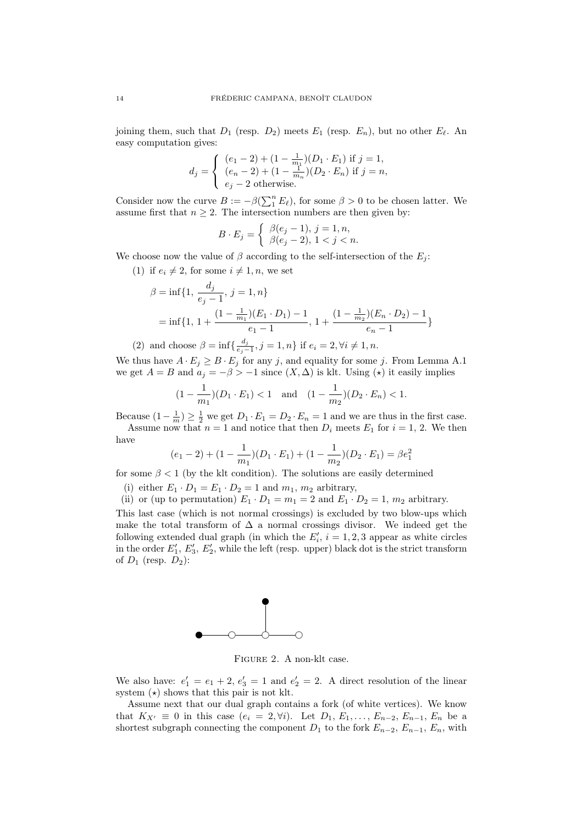joining them, such that  $D_1$  (resp.  $D_2$ ) meets  $E_1$  (resp.  $E_n$ ), but no other  $E_\ell$ . An easy computation gives:

$$
d_j = \begin{cases} (e_1 - 2) + (1 - \frac{1}{m_1})(D_1 \cdot E_1) & \text{if } j = 1, \\ (e_n - 2) + (1 - \frac{1}{m_n})(D_2 \cdot E_n) & \text{if } j = n, \\ e_j - 2 & \text{otherwise.} \end{cases}
$$

Consider now the curve  $B := -\beta(\sum_{1}^{n} E_{\ell})$ , for some  $\beta > 0$  to be chosen latter. We assume first that  $n \geq 2$ . The intersection numbers are then given by:

$$
B \cdot E_j = \begin{cases} \beta(e_j - 1), \ j = 1, n, \\ \beta(e_j - 2), \ 1 < j < n. \end{cases}
$$

We choose now the value of  $\beta$  according to the self-intersection of the  $E_j$ :

(1) if  $e_i \neq 2$ , for some  $i \neq 1, n$ , we set

$$
\beta = \inf\{1, \frac{d_j}{e_j - 1}, j = 1, n\}
$$
  
=  $\inf\{1, 1 + \frac{(1 - \frac{1}{m_1})(E_1 \cdot D_1) - 1}{e_1 - 1}, 1 + \frac{(1 - \frac{1}{m_2})(E_n \cdot D_2) - 1}{e_n - 1}\}$ 

(2) and choose  $\beta = \inf \{ \frac{d_j}{e_j} \}$  $\frac{a_j}{e_j-1}, j = 1, n$ } if  $e_i = 2, \forall i \neq 1, n$ .

We thus have  $A \cdot E_j \ge B \cdot E_j$  for any j, and equality for some j. From Lemma A.1 we get  $A = B$  and  $a_j = -\beta > -1$  since  $(X, \Delta)$  is klt. Using  $(\star)$  it easily implies

$$
(1 - \frac{1}{m_1})(D_1 \cdot E_1) < 1
$$
 and  $(1 - \frac{1}{m_2})(D_2 \cdot E_n) < 1$ .

Because  $(1 - \frac{1}{m}) \ge \frac{1}{2}$  we get  $D_1 \cdot E_1 = D_2 \cdot E_n = 1$  and we are thus in the first case. Assume now that  $n = 1$  and notice that then  $D_i$  meets  $E_1$  for  $i = 1, 2$ . We then have

$$
(e_1 - 2) + (1 - \frac{1}{m_1})(D_1 \cdot E_1) + (1 - \frac{1}{m_2})(D_2 \cdot E_1) = \beta e_1^2
$$

for some  $\beta < 1$  (by the klt condition). The solutions are easily determined

(i) either  $E_1 \cdot D_1 = E_1 \cdot D_2 = 1$  and  $m_1$ ,  $m_2$  arbitrary,

(ii) or (up to permutation)  $E_1 \cdot D_1 = m_1 = 2$  and  $E_1 \cdot D_2 = 1$ ,  $m_2$  arbitrary.

This last case (which is not normal crossings) is excluded by two blow-ups which make the total transform of  $\Delta$  a normal crossings divisor. We indeed get the following extended dual graph (in which the  $E'_i$ ,  $i = 1, 2, 3$  appear as white circles in the order  $E'_1, E'_3, E'_2$ , while the left (resp. upper) black dot is the strict transform of  $D_1$  (resp.  $D_2$ ):



Figure 2. A non-klt case.

We also have:  $e'_1 = e_1 + 2$ ,  $e'_3 = 1$  and  $e'_2 = 2$ . A direct resolution of the linear system  $(\star)$  shows that this pair is not klt.

Assume next that our dual graph contains a fork (of white vertices). We know that  $K_{X'} \equiv 0$  in this case  $(e_i = 2, \forall i)$ . Let  $D_1, E_1, \ldots, E_{n-2}, E_{n-1}, E_n$  be a shortest subgraph connecting the component  $D_1$  to the fork  $E_{n-2}$ ,  $E_{n-1}$ ,  $E_n$ , with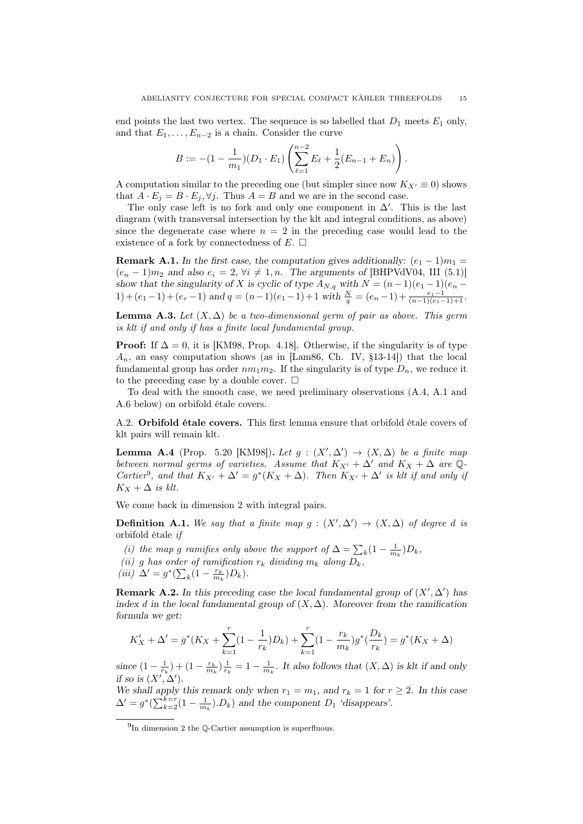end points the last two vertex. The sequence is so labelled that  $D_1$  meets  $E_1$  only, and that  $E_1, \ldots, E_{n-2}$  is a chain. Consider the curve

$$
B := -(1 - \frac{1}{m_1})(D_1 \cdot E_1) \left( \sum_{\ell=1}^{n-2} E_{\ell} + \frac{1}{2}(E_{n-1} + E_n) \right).
$$

A computation similar to the preceding one (but simpler since now  $K_{X'} \equiv 0$ ) shows that  $A \cdot E_j = B \cdot E_j$ ,  $\forall j$ . Thus  $A = B$  and we are in the second case.

The only case left is no fork and only one component in  $\Delta'$ . This is the last diagram (with transversal intersection by the klt and integral conditions, as above) since the degenerate case where  $n = 2$  in the preceding case would lead to the existence of a fork by connectedness of  $E$ .  $\Box$ 

**Remark A.1.** In the first case, the computation gives additionally:  $(e_1 - 1)m_1 =$  $(e_n - 1)m_2$  and also  $e_i = 2, \forall i \neq 1, n$ . The arguments of [BHPVdV04, III (5.1)] show that the singularity of X is cyclic of type  $A_{N,q}$  with  $N = (n-1)(e_1-1)(e_n-1)$ 1) +  $(e_1 - 1)$  +  $(e_r - 1)$  and  $q = (n - 1)(e_1 - 1)$  + 1 with  $\frac{N}{q} = (e_n - 1) + \frac{e_1 - 1}{(n - 1)(e_1 - 1) + 1}$ .

**Lemma A.3.** Let  $(X, \Delta)$  be a two-dimensional germ of pair as above. This germ is klt if and only if has a finite local fundamental group.

**Proof:** If  $\Delta = 0$ , it is [KM98, Prop. 4.18]. Otherwise, if the singularity is of type  $A_n$ , an easy computation shows (as in [Lam86, Ch. IV, §13-14]) that the local fundamental group has order  $nm_1m_2$ . If the singularity is of type  $D_n$ , we reduce it to the preceding case by a double cover.  $\square$ 

To deal with the smooth case, we need preliminary observations (A.4, A.1 and A.6 below) on orbifold étale covers.

A.2. Orbifold étale covers. This first lemma ensure that orbifold étale covers of klt pairs will remain klt.

**Lemma A.4** (Prop. 5.20 [KM98]). Let  $g : (X', \Delta') \to (X, \Delta)$  be a finite map between normal germs of varieties. Assume that  $K_{X'} + \Delta'$  and  $K_X + \Delta$  are Q-Cartier<sup>9</sup>, and that  $K_{X'} + \Delta' = g^*(K_X + \Delta)$ . Then  $K_{X'} + \Delta'$  is klt if and only if  $K_X + \Delta$  is klt.

We come back in dimension 2 with integral pairs.

**Definition A.1.** We say that a finite map  $g : (X', \Delta') \to (X, \Delta)$  of degree d is orbifold étale if

- (i) the map g ramifies only above the support of  $\Delta = \sum_{k} (1 \frac{1}{m_k}) D_k$ ,
- (ii) g has order of ramification  $r_k$  dividing  $m_k$  along  $D_k$ ,
- (iii)  $\Delta' = g^*(\sum_k (1 \frac{r_k}{m_k})D_k).$

**Remark A.2.** In this preceding case the local fundamental group of  $(X', \Delta')$  has index d in the local fundamental group of  $(X, \Delta)$ . Moreover from the ramification formula we get:

$$
K'_X + \Delta' = g^*(K_X + \sum_{k=1}^r (1 - \frac{1}{r_k})D_k) + \sum_{k=1}^r (1 - \frac{r_k}{m_k})g^*(\frac{D_k}{r_k}) = g^*(K_X + \Delta)
$$

since  $(1-\frac{1}{r_k})+(1-\frac{r_k}{m_k})\frac{1}{r_k}=1-\frac{1}{m_k}$ . It also follows that  $(X,\Delta)$  is klt if and only if so is  $(X', \Delta')$ .

We shall apply this remark only when  $r_1 = m_1$ , and  $r_k = 1$  for  $r \ge 2$ . In this case  $\Delta' = g^*(\sum_{k=2}^{k=r} (1 - \frac{1}{m_k}).D_k)$  and the component  $D_1$  'disappears'.

 ${}^{9}$ In dimension 2 the Q-Cartier assumption is superfluous.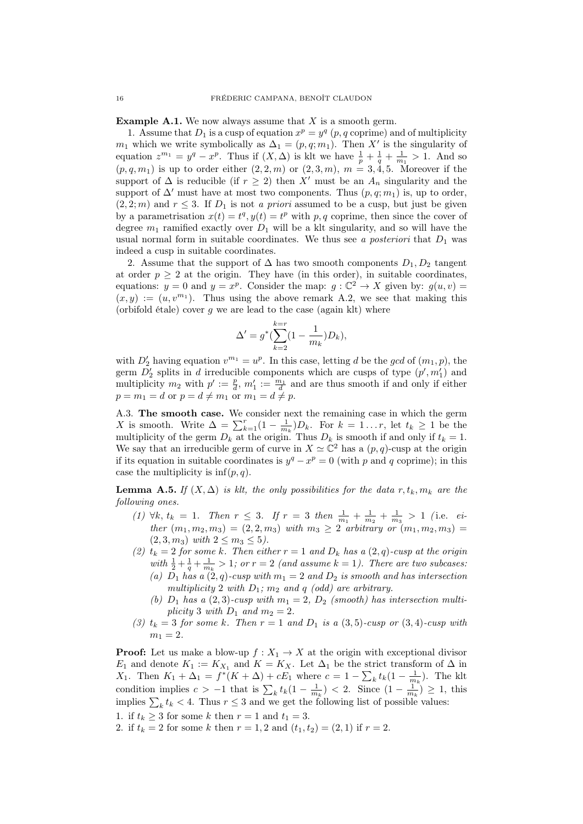**Example A.1.** We now always assume that  $X$  is a smooth germ.

1. Assume that  $D_1$  is a cusp of equation  $x^p = y^q$   $(p, q \text{ coprime})$  and of multiplicity  $m_1$  which we write symbolically as  $\Delta_1 = (p, q; m_1)$ . Then X' is the singularity of equation  $z^{m_1} = y^q - x^p$ . Thus if  $(X, \Delta)$  is klt we have  $\frac{1}{p} + \frac{1}{q} + \frac{1}{m_1} > 1$ . And so  $(p, q, m_1)$  is up to order either  $(2, 2, m)$  or  $(2, 3, m)$ ,  $m = 3, 4, 5$ . Moreover if the support of  $\Delta$  is reducible (if  $r \geq 2$ ) then X' must be an  $A_n$  singularity and the support of  $\Delta'$  must have at most two components. Thus  $(p, q; m_1)$  is, up to order,  $(2, 2; m)$  and  $r \leq 3$ . If  $D_1$  is not a priori assumed to be a cusp, but just be given by a parametrisation  $x(t) = t^q, y(t) = t^p$  with p, q coprime, then since the cover of degree  $m_1$  ramified exactly over  $D_1$  will be a klt singularity, and so will have the usual normal form in suitable coordinates. We thus see a *posteriori* that  $D_1$  was indeed a cusp in suitable coordinates.

2. Assume that the support of  $\Delta$  has two smooth components  $D_1, D_2$  tangent at order  $p \geq 2$  at the origin. They have (in this order), in suitable coordinates, equations:  $y = 0$  and  $y = x^p$ . Consider the map:  $g: \mathbb{C}^2 \to X$  given by:  $g(u, v) =$  $(x, y) := (u, v^{m_1})$ . Thus using the above remark A.2, we see that making this (orbifold étale) cover q we are lead to the case (again klt) where

$$
\Delta'=g^*\bigl(\sum_{k=2}^{k=r}(1-\frac{1}{m_k})D_k\bigr),
$$

with  $D'_2$  having equation  $v^{m_1} = u^p$ . In this case, letting d be the gcd of  $(m_1, p)$ , the germ  $D'_2$  splits in d irreducible components which are cusps of type  $(p', m'_1)$  and multiplicity  $m_2$  with  $p' := \frac{p}{d}$ ,  $m'_1 := \frac{m_1}{d}$  and are thus smooth if and only if either  $p = m_1 = d$  or  $p = d \neq m_1$  or  $m_1 = d \neq p$ .

A.3. The smooth case. We consider next the remaining case in which the germ X is smooth. Write  $\Delta = \sum_{k=1}^{r} (1 - \frac{1}{m_k}) D_k$ . For  $k = 1...r$ , let  $t_k \ge 1$  be the multiplicity of the germ  $D_k$  at the origin. Thus  $D_k$  is smooth if and only if  $t_k = 1$ . We say that an irreducible germ of curve in  $X \simeq \mathbb{C}^2$  has a  $(p, q)$ -cusp at the origin if its equation in suitable coordinates is  $y^q - x^p = 0$  (with p and q coprime); in this case the multiplicity is  $\inf(p,q)$ .

**Lemma A.5.** If  $(X, \Delta)$  is klt, the only possibilities for the data r,  $t_k, m_k$  are the following ones.

- (1)  $\forall k, t_k = 1$ . Then  $r \leq 3$ . If  $r = 3$  then  $\frac{1}{m_1} + \frac{1}{m_2} + \frac{1}{m_3} > 1$  (i.e. either  $(m_1, m_2, m_3) = (2, 2, m_3)$  with  $m_3 \geq 2$  arbitrary or  $(m_1, m_2, m_3) =$  $(2, 3, m_3)$  with  $2 \le m_3 \le 5$ ).
- (2)  $t_k = 2$  for some k. Then either  $r = 1$  and  $D_k$  has a  $(2,q)$ -cusp at the origin with  $\frac{1}{2} + \frac{1}{q} + \frac{1}{m_k} > 1$ ; or  $r = 2$  (and assume  $k = 1$ ). There are two subcases: (a)  $D_1$  has a  $(2,q)$ -cusp with  $m_1 = 2$  and  $D_2$  is smooth and has intersection multiplicity 2 with  $D_1$ ;  $m_2$  and q (odd) are arbitrary.
	- (b)  $D_1$  has a  $(2, 3)$ -cusp with  $m_1 = 2$ ,  $D_2$  (smooth) has intersection multiplicity 3 with  $D_1$  and  $m_2 = 2$ .
- (3)  $t_k = 3$  for some k. Then  $r = 1$  and  $D_1$  is a  $(3, 5)$ -cusp or  $(3, 4)$ -cusp with  $m_1 = 2.$

**Proof:** Let us make a blow-up  $f: X_1 \to X$  at the origin with exceptional divisor  $E_1$  and denote  $K_1 := K_{X_1}$  and  $K = K_X$ . Let  $\Delta_1$  be the strict transform of  $\Delta$  in X<sub>1</sub>. Then  $K_1 + \Delta_1 = f^*(K + \Delta) + cE_1$  where  $c = 1 - \sum_k t_k (1 - \frac{1}{m_k})$ . The klt condition implies  $c > -1$  that is  $\sum_k t_k(1 - \frac{1}{m_k}) < 2$ . Since  $(1 - \frac{1}{m_k}) \ge 1$ , this implies  $\sum_k t_k < 4$ . Thus  $r \leq 3$  and we get the following list of possible values: 1. if  $t_k \geq 3$  for some k then  $r = 1$  and  $t_1 = 3$ .

2. if  $t_k = 2$  for some k then  $r = 1, 2$  and  $(t_1, t_2) = (2, 1)$  if  $r = 2$ .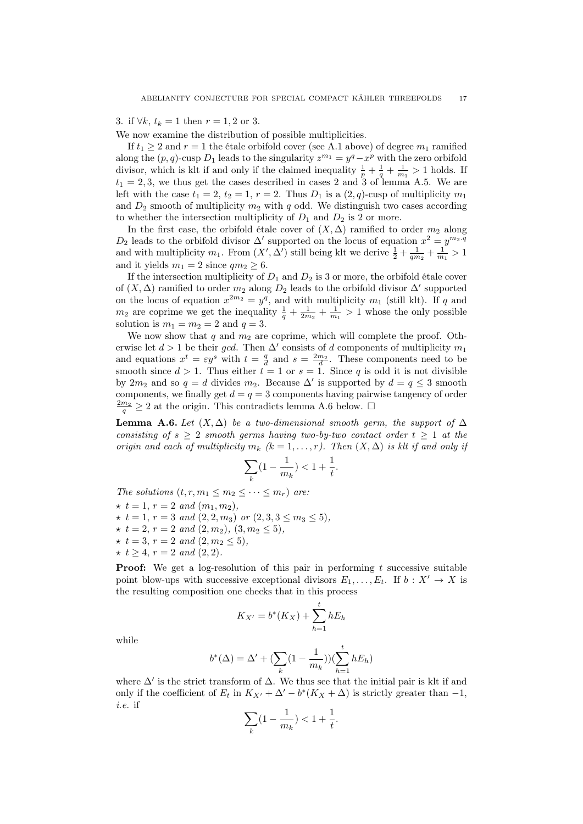3. if  $∀k, t_k = 1$  then  $r = 1, 2$  or 3.

We now examine the distribution of possible multiplicities.

If  $t_1 \geq 2$  and  $r = 1$  the étale orbifold cover (see A.1 above) of degree  $m_1$  ramified along the  $(p, q)$ -cusp  $D_1$  leads to the singularity  $z^{m_1} = y^q - x^p$  with the zero orbifold divisor, which is klt if and only if the claimed inequality  $\frac{1}{p} + \frac{1}{q} + \frac{1}{m_1} > 1$  holds. If  $t_1 = 2, 3$ , we thus get the cases described in cases 2 and 3 of lemma A.5. We are left with the case  $t_1 = 2$ ,  $t_2 = 1$ ,  $r = 2$ . Thus  $D_1$  is a  $(2, q)$ -cusp of multiplicity  $m_1$ and  $D_2$  smooth of multiplicity  $m_2$  with q odd. We distinguish two cases according to whether the intersection multiplicity of  $D_1$  and  $D_2$  is 2 or more.

In the first case, the orbifold étale cover of  $(X, \Delta)$  ramified to order  $m_2$  along  $D_2$  leads to the orbifold divisor  $\Delta'$  supported on the locus of equation  $x^2 = y^{m_2,q}$ and with multiplicity  $m_1$ . From  $(X', \Delta')$  still being klt we derive  $\frac{1}{2} + \frac{1}{qm_2} + \frac{1}{m_1} > 1$ and it yields  $m_1 = 2$  since  $qm_2 \geq 6$ .

If the intersection multiplicity of  $D_1$  and  $D_2$  is 3 or more, the orbifold étale cover of  $(X, \Delta)$  ramified to order  $m_2$  along  $D_2$  leads to the orbifold divisor  $\Delta'$  supported on the locus of equation  $x^{2m_2} = y^q$ , and with multiplicity  $m_1$  (still klt). If q and  $m_2$  are coprime we get the inequality  $\frac{1}{q} + \frac{1}{2m_2} + \frac{1}{m_1} > 1$  whose the only possible solution is  $m_1 = m_2 = 2$  and  $q = 3$ .

We now show that  $q$  and  $m_2$  are coprime, which will complete the proof. Otherwise let  $d > 1$  be their gcd. Then  $\Delta'$  consists of d components of multiplicity  $m_1$ and equations  $x^t = \varepsilon y^s$  with  $t = \frac{q}{d}$  and  $s = \frac{2m_2}{d}$ . These components need to be smooth since  $d > 1$ . Thus either  $t = 1$  or  $s = 1$ . Since q is odd it is not divisible by 2 $m_2$  and so  $q = d$  divides  $m_2$ . Because  $\Delta'$  is supported by  $d = q \leq 3$  smooth components, we finally get  $d = q = 3$  components having pairwise tangency of order  $\frac{2m_2}{q} \geq 2$  at the origin. This contradicts lemma A.6 below.  $\Box$ 

**Lemma A.6.** Let  $(X, \Delta)$  be a two-dimensional smooth germ, the support of  $\Delta$ consisting of  $s \geq 2$  smooth germs having two-by-two contact order  $t \geq 1$  at the origin and each of multiplicity  $m_k$   $(k = 1, \ldots, r)$ . Then  $(X, \Delta)$  is klt if and only if

$$
\sum_{k} (1 - \frac{1}{m_k}) < 1 + \frac{1}{t}.
$$

The solutions  $(t, r, m_1 \le m_2 \le \cdots \le m_r)$  are:

- $\star t = 1, r = 2 \text{ and } (m_1, m_2),$
- $\star t = 1, r = 3 \text{ and } (2, 2, m_3) \text{ or } (2, 3, 3 \le m_3 \le 5),$
- $\star$  t = 2, r = 2 and (2, m<sub>2</sub>), (3, m<sub>2</sub>  $\leq$  5),
- $\star t = 3, r = 2 \text{ and } (2, m_2 \leq 5),$
- $\star t > 4$ ,  $r = 2$  and  $(2, 2)$ .

**Proof:** We get a log-resolution of this pair in performing t successive suitable point blow-ups with successive exceptional divisors  $E_1, \ldots, E_t$ . If  $b : X' \to X$  is the resulting composition one checks that in this process

$$
K_{X'} = b^*(K_X) + \sum_{h=1}^t hE_h
$$

while

$$
b^*(\Delta)=\Delta'+(\sum_k (1-\frac{1}{m_k}))(\sum_{h=1}^t hE_h)
$$

where  $\Delta'$  is the strict transform of  $\Delta$ . We thus see that the initial pair is klt if and only if the coefficient of  $E_t$  in  $K_{X'} + \Delta' - b^*(K_X + \Delta)$  is strictly greater than  $-1$ , i.e. if

$$
\sum_{k}(1-\frac{1}{m_k})<1+\frac{1}{t}.
$$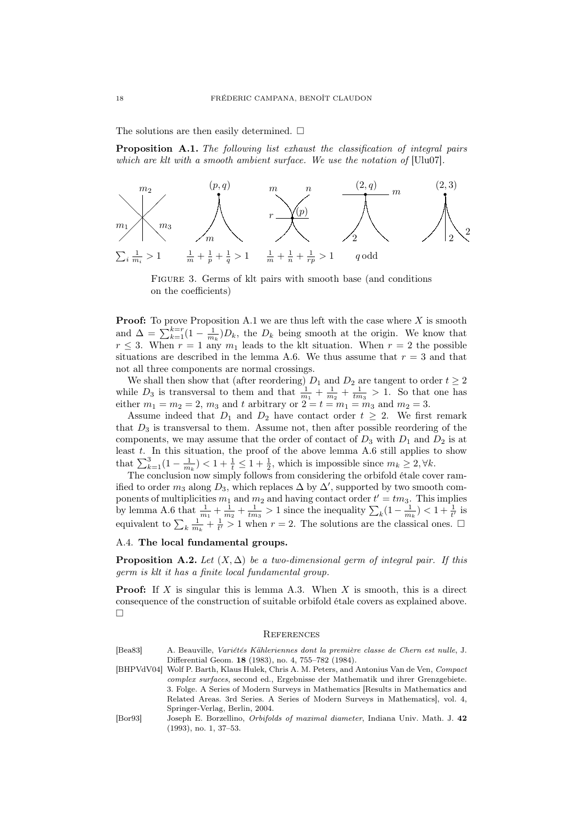The solutions are then easily determined.  $\square$ 

Proposition A.1. The following list exhaust the classification of integral pairs which are klt with a smooth ambient surface. We use the notation of [Ulu07].



FIGURE 3. Germs of klt pairs with smooth base (and conditions on the coefficients)

**Proof:** To prove Proposition A.1 we are thus left with the case where  $X$  is smooth and  $\Delta = \sum_{k=1}^{k=r} (1 - \frac{1}{m_k}) D_k$ , the  $D_k$  being smooth at the origin. We know that  $r \leq 3$ . When  $r = 1$  any  $m_1$  leads to the klt situation. When  $r = 2$  the possible situations are described in the lemma A.6. We thus assume that  $r = 3$  and that not all three components are normal crossings.

We shall then show that (after reordering)  $D_1$  and  $D_2$  are tangent to order  $t \geq 2$ while  $D_3$  is transversal to them and that  $\frac{1}{m_1} + \frac{1}{m_2} + \frac{1}{tm_3} > 1$ . So that one has either  $m_1 = m_2 = 2$ ,  $m_3$  and t arbitrary or  $2 = t = m_1 = m_3$  and  $m_2 = 3$ .

Assume indeed that  $D_1$  and  $D_2$  have contact order  $t \geq 2$ . We first remark that  $D_3$  is transversal to them. Assume not, then after possible reordering of the components, we may assume that the order of contact of  $D_3$  with  $D_1$  and  $D_2$  is at least  $t$ . In this situation, the proof of the above lemma A.6 still applies to show that  $\sum_{k=1}^{3} (1 - \frac{1}{m_k}) < 1 + \frac{1}{t} \leq 1 + \frac{1}{2}$ , which is impossible since  $m_k \geq 2, \forall k$ .

The conclusion now simply follows from considering the orbifold étale cover ramified to order  $m_3$  along  $D_3$ , which replaces  $\Delta$  by  $\Delta'$ , supported by two smooth components of multiplicities  $m_1$  and  $m_2$  and having contact order  $t' = tm_3$ . This implies by lemma A.6 that  $\frac{1}{m_1} + \frac{1}{m_2} + \frac{1}{tm_3} > 1$  since the inequality  $\sum_k (1 - \frac{1}{m_k}) < 1 + \frac{1}{t'}$  is equivalent to  $\sum_{k} \frac{1}{m_k} + \frac{1}{t'} > 1$  when  $r = 2$ . The solutions are the classical ones.  $\Box$ 

# A.4. The local fundamental groups.

**Proposition A.2.** Let  $(X, \Delta)$  be a two-dimensional germ of integral pair. If this germ is klt it has a finite local fundamental group.

**Proof:** If X is singular this is lemma A.3. When X is smooth, this is a direct consequence of the construction of suitable orbifold étale covers as explained above.  $\Box$ 

## **REFERENCES**

- [Bea83] A. Beauville, Variétés Kähleriennes dont la première classe de Chern est nulle, J. Differential Geom. 18 (1983), no. 4, 755–782 (1984).
- [BHPVdV04] Wolf P. Barth, Klaus Hulek, Chris A. M. Peters, and Antonius Van de Ven, Compact complex surfaces, second ed., Ergebnisse der Mathematik und ihrer Grenzgebiete. 3. Folge. A Series of Modern Surveys in Mathematics [Results in Mathematics and Related Areas. 3rd Series. A Series of Modern Surveys in Mathematics], vol. 4, Springer-Verlag, Berlin, 2004.
- [Bor93] Joseph E. Borzellino, Orbifolds of maximal diameter, Indiana Univ. Math. J. 42 (1993), no. 1, 37–53.